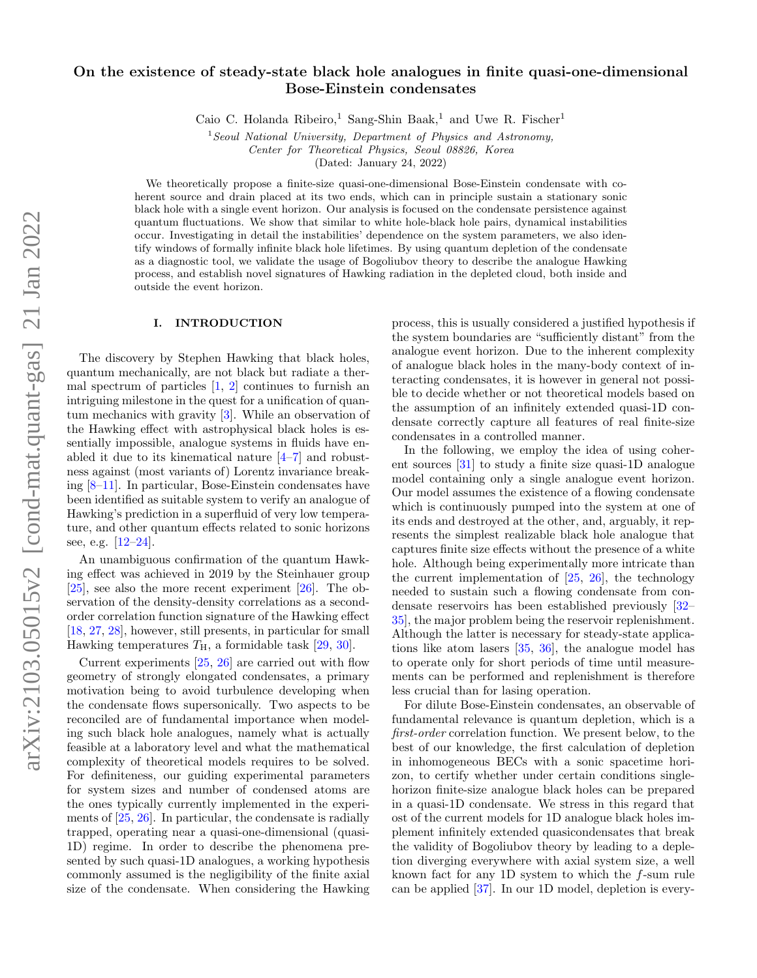# On the existence of steady-state black hole analogues in finite quasi-one-dimensional Bose-Einstein condensates

Caio C. Holanda Ribeiro,<sup>1</sup> Sang-Shin Baak,<sup>1</sup> and Uwe R. Fischer<sup>1</sup>

 $1$ Seoul National University, Department of Physics and Astronomy, Center for Theoretical Physics, Seoul 08826, Korea

(Dated: January 24, 2022)

We theoretically propose a finite-size quasi-one-dimensional Bose-Einstein condensate with coherent source and drain placed at its two ends, which can in principle sustain a stationary sonic black hole with a single event horizon. Our analysis is focused on the condensate persistence against quantum fluctuations. We show that similar to white hole-black hole pairs, dynamical instabilities occur. Investigating in detail the instabilities' dependence on the system parameters, we also identify windows of formally infinite black hole lifetimes. By using quantum depletion of the condensate as a diagnostic tool, we validate the usage of Bogoliubov theory to describe the analogue Hawking process, and establish novel signatures of Hawking radiation in the depleted cloud, both inside and outside the event horizon.

## I. INTRODUCTION

The discovery by Stephen Hawking that black holes, quantum mechanically, are not black but radiate a thermal spectrum of particles  $\left[1, 2\right]$  $\left[1, 2\right]$  $\left[1, 2\right]$  continues to furnish an intriguing milestone in the quest for a unification of quantum mechanics with gravity [\[3\]](#page-10-2). While an observation of the Hawking effect with astrophysical black holes is essentially impossible, analogue systems in fluids have enabled it due to its kinematical nature [\[4–](#page-10-3)[7\]](#page-10-4) and robustness against (most variants of) Lorentz invariance breaking [\[8–](#page-10-5)[11\]](#page-10-6). In particular, Bose-Einstein condensates have been identified as suitable system to verify an analogue of Hawking's prediction in a superfluid of very low temperature, and other quantum effects related to sonic horizons see, e.g. [\[12–](#page-10-7)[24\]](#page-11-0).

An unambiguous confirmation of the quantum Hawking effect was achieved in 2019 by the Steinhauer group [\[25\]](#page-11-1), see also the more recent experiment [\[26\]](#page-11-2). The observation of the density-density correlations as a secondorder correlation function signature of the Hawking effect [\[18,](#page-10-8) [27,](#page-11-3) [28\]](#page-11-4), however, still presents, in particular for small Hawking temperatures  $T_{\rm H}$ , a formidable task [\[29,](#page-11-5) [30\]](#page-11-6).

Current experiments [\[25,](#page-11-1) [26\]](#page-11-2) are carried out with flow geometry of strongly elongated condensates, a primary motivation being to avoid turbulence developing when the condensate flows supersonically. Two aspects to be reconciled are of fundamental importance when modeling such black hole analogues, namely what is actually feasible at a laboratory level and what the mathematical complexity of theoretical models requires to be solved. For definiteness, our guiding experimental parameters for system sizes and number of condensed atoms are the ones typically currently implemented in the experiments of [\[25,](#page-11-1) [26\]](#page-11-2). In particular, the condensate is radially trapped, operating near a quasi-one-dimensional (quasi-1D) regime. In order to describe the phenomena presented by such quasi-1D analogues, a working hypothesis commonly assumed is the negligibility of the finite axial size of the condensate. When considering the Hawking process, this is usually considered a justified hypothesis if the system boundaries are "sufficiently distant" from the analogue event horizon. Due to the inherent complexity of analogue black holes in the many-body context of interacting condensates, it is however in general not possible to decide whether or not theoretical models based on the assumption of an infinitely extended quasi-1D condensate correctly capture all features of real finite-size condensates in a controlled manner.

In the following, we employ the idea of using coherent sources [\[31\]](#page-11-7) to study a finite size quasi-1D analogue model containing only a single analogue event horizon. Our model assumes the existence of a flowing condensate which is continuously pumped into the system at one of its ends and destroyed at the other, and, arguably, it represents the simplest realizable black hole analogue that captures finite size effects without the presence of a white hole. Although being experimentally more intricate than the current implementation of  $[25, 26]$  $[25, 26]$  $[25, 26]$ , the technology needed to sustain such a flowing condensate from condensate reservoirs has been established previously [\[32–](#page-11-8) [35\]](#page-11-9), the major problem being the reservoir replenishment. Although the latter is necessary for steady-state applications like atom lasers [\[35,](#page-11-9) [36\]](#page-11-10), the analogue model has to operate only for short periods of time until measurements can be performed and replenishment is therefore less crucial than for lasing operation.

For dilute Bose-Einstein condensates, an observable of fundamental relevance is quantum depletion, which is a first-order correlation function. We present below, to the best of our knowledge, the first calculation of depletion in inhomogeneous BECs with a sonic spacetime horizon, to certify whether under certain conditions singlehorizon finite-size analogue black holes can be prepared in a quasi-1D condensate. We stress in this regard that ost of the current models for 1D analogue black holes implement infinitely extended quasicondensates that break the validity of Bogoliubov theory by leading to a depletion diverging everywhere with axial system size, a well known fact for any 1D system to which the f-sum rule can be applied [\[37\]](#page-11-11). In our 1D model, depletion is every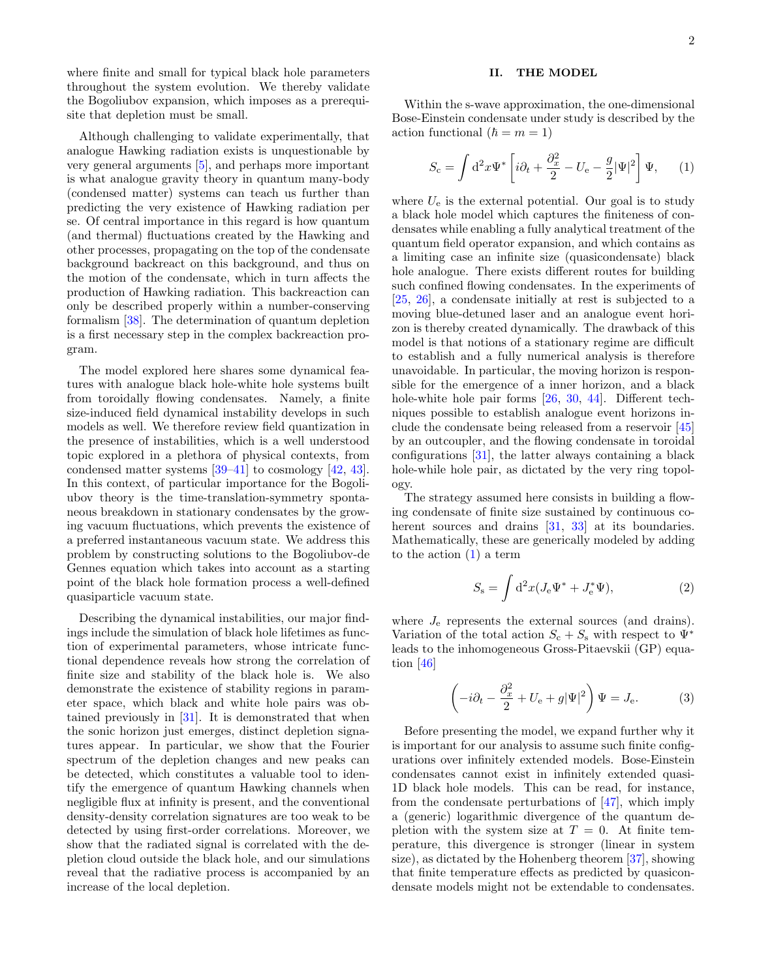where finite and small for typical black hole parameters throughout the system evolution. We thereby validate the Bogoliubov expansion, which imposes as a prerequisite that depletion must be small.

Although challenging to validate experimentally, that analogue Hawking radiation exists is unquestionable by very general arguments [\[5\]](#page-10-9), and perhaps more important is what analogue gravity theory in quantum many-body (condensed matter) systems can teach us further than predicting the very existence of Hawking radiation per se. Of central importance in this regard is how quantum (and thermal) fluctuations created by the Hawking and other processes, propagating on the top of the condensate background backreact on this background, and thus on the motion of the condensate, which in turn affects the production of Hawking radiation. This backreaction can only be described properly within a number-conserving formalism [\[38\]](#page-11-12). The determination of quantum depletion is a first necessary step in the complex backreaction program.

The model explored here shares some dynamical features with analogue black hole-white hole systems built from toroidally flowing condensates. Namely, a finite size-induced field dynamical instability develops in such models as well. We therefore review field quantization in the presence of instabilities, which is a well understood topic explored in a plethora of physical contexts, from condensed matter systems [\[39–](#page-11-13)[41\]](#page-11-14) to cosmology [\[42,](#page-11-15) [43\]](#page-11-16). In this context, of particular importance for the Bogoliubov theory is the time-translation-symmetry spontaneous breakdown in stationary condensates by the growing vacuum fluctuations, which prevents the existence of a preferred instantaneous vacuum state. We address this problem by constructing solutions to the Bogoliubov-de Gennes equation which takes into account as a starting point of the black hole formation process a well-defined quasiparticle vacuum state.

Describing the dynamical instabilities, our major findings include the simulation of black hole lifetimes as function of experimental parameters, whose intricate functional dependence reveals how strong the correlation of finite size and stability of the black hole is. We also demonstrate the existence of stability regions in parameter space, which black and white hole pairs was obtained previously in [\[31\]](#page-11-7). It is demonstrated that when the sonic horizon just emerges, distinct depletion signatures appear. In particular, we show that the Fourier spectrum of the depletion changes and new peaks can be detected, which constitutes a valuable tool to identify the emergence of quantum Hawking channels when negligible flux at infinity is present, and the conventional density-density correlation signatures are too weak to be detected by using first-order correlations. Moreover, we show that the radiated signal is correlated with the depletion cloud outside the black hole, and our simulations reveal that the radiative process is accompanied by an increase of the local depletion.

# II. THE MODEL

Within the s-wave approximation, the one-dimensional Bose-Einstein condensate under study is described by the action functional  $(h = m = 1)$ 

<span id="page-1-0"></span>
$$
S_{\rm c} = \int d^2x \Psi^* \left[ i\partial_t + \frac{\partial_x^2}{2} - U_{\rm e} - \frac{g}{2} |\Psi|^2 \right] \Psi, \qquad (1)
$$

where  $U_e$  is the external potential. Our goal is to study a black hole model which captures the finiteness of condensates while enabling a fully analytical treatment of the quantum field operator expansion, and which contains as a limiting case an infinite size (quasicondensate) black hole analogue. There exists different routes for building such confined flowing condensates. In the experiments of [\[25,](#page-11-1) [26\]](#page-11-2), a condensate initially at rest is subjected to a moving blue-detuned laser and an analogue event horizon is thereby created dynamically. The drawback of this model is that notions of a stationary regime are difficult to establish and a fully numerical analysis is therefore unavoidable. In particular, the moving horizon is responsible for the emergence of a inner horizon, and a black hole-white hole pair forms [\[26,](#page-11-2) [30,](#page-11-6) [44\]](#page-11-17). Different techniques possible to establish analogue event horizons include the condensate being released from a reservoir [\[45\]](#page-11-18) by an outcoupler, and the flowing condensate in toroidal configurations [\[31\]](#page-11-7), the latter always containing a black hole-while hole pair, as dictated by the very ring topology.

The strategy assumed here consists in building a flowing condensate of finite size sustained by continuous co-herent sources and drains [\[31,](#page-11-7) [33\]](#page-11-19) at its boundaries. Mathematically, these are generically modeled by adding to the action [\(1\)](#page-1-0) a term

$$
S_{\rm s} = \int \mathrm{d}^2 x (J_{\rm e} \Psi^* + J_{\rm e}^* \Psi), \tag{2}
$$

where  $J_{e}$  represents the external sources (and drains). Variation of the total action  $S_c + S_s$  with respect to  $\Psi^*$ leads to the inhomogeneous Gross-Pitaevskii (GP) equation [\[46\]](#page-11-20)

<span id="page-1-1"></span>
$$
\left(-i\partial_t - \frac{\partial_x^2}{2} + U_e + g|\Psi|^2\right)\Psi = J_e.
$$
 (3)

Before presenting the model, we expand further why it is important for our analysis to assume such finite configurations over infinitely extended models. Bose-Einstein condensates cannot exist in infinitely extended quasi-1D black hole models. This can be read, for instance, from the condensate perturbations of [\[47\]](#page-11-21), which imply a (generic) logarithmic divergence of the quantum depletion with the system size at  $T = 0$ . At finite temperature, this divergence is stronger (linear in system size), as dictated by the Hohenberg theorem [\[37\]](#page-11-11), showing that finite temperature effects as predicted by quasicondensate models might not be extendable to condensates.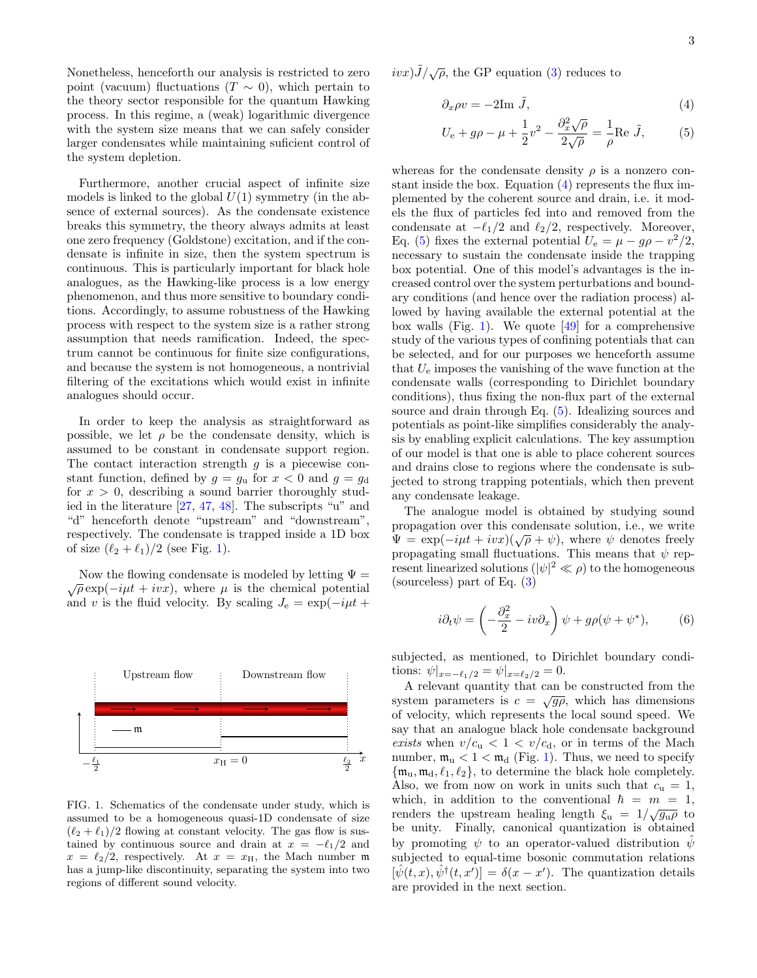Nonetheless, henceforth our analysis is restricted to zero point (vacuum) fluctuations  $(T \sim 0)$ , which pertain to the theory sector responsible for the quantum Hawking process. In this regime, a (weak) logarithmic divergence with the system size means that we can safely consider larger condensates while maintaining suficient control of the system depletion.

Furthermore, another crucial aspect of infinite size models is linked to the global  $U(1)$  symmetry (in the absence of external sources). As the condensate existence breaks this symmetry, the theory always admits at least one zero frequency (Goldstone) excitation, and if the condensate is infinite in size, then the system spectrum is continuous. This is particularly important for black hole analogues, as the Hawking-like process is a low energy phenomenon, and thus more sensitive to boundary conditions. Accordingly, to assume robustness of the Hawking process with respect to the system size is a rather strong assumption that needs ramification. Indeed, the spectrum cannot be continuous for finite size configurations, and because the system is not homogeneous, a nontrivial filtering of the excitations which would exist in infinite analogues should occur.

In order to keep the analysis as straightforward as possible, we let  $\rho$  be the condensate density, which is assumed to be constant in condensate support region. The contact interaction strength  $g$  is a piecewise constant function, defined by  $g = g_u$  for  $x < 0$  and  $g = g_d$ for  $x > 0$ , describing a sound barrier thoroughly studied in the literature [\[27,](#page-11-3) [47,](#page-11-21) [48\]](#page-11-22). The subscripts "u" and "d" henceforth denote "upstream" and "downstream", respectively. The condensate is trapped inside a 1D box of size  $(\ell_2 + \ell_1)/2$  $(\ell_2 + \ell_1)/2$  $(\ell_2 + \ell_1)/2$  (see Fig. 1).

Now the flowing condensate is modeled by letting  $\Psi =$  $\sqrt{\rho} \exp(-i\mu t + ivx)$ , where  $\mu$  is the chemical potential and v is the fluid velocity. By scaling  $J_e = \exp(-i\mu t +$ 



<span id="page-2-0"></span>FIG. 1. Schematics of the condensate under study, which is assumed to be a homogeneous quasi-1D condensate of size  $(\ell_2 + \ell_1)/2$  flowing at constant velocity. The gas flow is sustained by continuous source and drain at  $x = -\ell_1/2$  and  $x = \ell_2/2$ , respectively. At  $x = x_H$ , the Mach number m has a jump-like discontinuity, separating the system into two regions of different sound velocity.

 $ivx)J/\sqrt{\rho}$ , the GP equation [\(3\)](#page-1-1) reduces to

<span id="page-2-1"></span>
$$
\partial_x \rho v = -2\mathrm{Im}\,\,\tilde{J},\tag{4}
$$

<span id="page-2-2"></span>
$$
U_{\rm e} + g\rho - \mu + \frac{1}{2}v^2 - \frac{\partial_x^2 \sqrt{\rho}}{2\sqrt{\rho}} = -\frac{1}{\rho} \text{Re } \tilde{J}, \qquad (5)
$$

whereas for the condensate density  $\rho$  is a nonzero constant inside the box. Equation [\(4\)](#page-2-1) represents the flux implemented by the coherent source and drain, i.e. it models the flux of particles fed into and removed from the condensate at  $-\ell_1/2$  and  $\ell_2/2$ , respectively. Moreover, Eq. [\(5\)](#page-2-2) fixes the external potential  $U_e = \mu - g\rho - v^2/2$ , necessary to sustain the condensate inside the trapping box potential. One of this model's advantages is the increased control over the system perturbations and boundary conditions (and hence over the radiation process) allowed by having available the external potential at the box walls (Fig. [1\)](#page-2-0). We quote  $[49]$  for a comprehensive study of the various types of confining potentials that can be selected, and for our purposes we henceforth assume that  $U_e$  imposes the vanishing of the wave function at the condensate walls (corresponding to Dirichlet boundary conditions), thus fixing the non-flux part of the external source and drain through Eq. [\(5\)](#page-2-2). Idealizing sources and potentials as point-like simplifies considerably the analysis by enabling explicit calculations. The key assumption of our model is that one is able to place coherent sources and drains close to regions where the condensate is subjected to strong trapping potentials, which then prevent any condensate leakage.

The analogue model is obtained by studying sound propagation over this condensate solution, i.e., we write  $\Psi = \exp(-i\mu t + ivx)(\sqrt{\rho} + \psi)$ , where  $\psi$  denotes freely propagating small fluctuations. This means that  $\psi$  represent linearized solutions  $(|\psi|^2 \ll \rho)$  to the homogeneous (sourceless) part of Eq. [\(3\)](#page-1-1)

<span id="page-2-3"></span>
$$
i\partial_t \psi = \left(-\frac{\partial_x^2}{2} - iv\partial_x\right)\psi + g\rho(\psi + \psi^*),\tag{6}
$$

subjected, as mentioned, to Dirichlet boundary conditions:  $\psi|_{x=-\ell_1/2} = \psi|_{x=\ell_2/2} = 0.$ 

A relevant quantity that can be constructed from the system parameters is  $c = \sqrt{g\rho}$ , which has dimensions of velocity, which represents the local sound speed. We say that an analogue black hole condensate background exists when  $v/c<sub>u</sub> < 1 < v/c<sub>d</sub>$ , or in terms of the Mach number,  $\mathfrak{m}_u < 1 < \mathfrak{m}_d$  (Fig. [1\)](#page-2-0). Thus, we need to specify  $\{\mathfrak{m}_u, \mathfrak{m}_d, \ell_1, \ell_2\}$ , to determine the black hole completely. Also, we from now on work in units such that  $c_u = 1$ , which, in addition to the conventional  $\hbar = m = 1$ , renders the upstream healing length  $\xi_u = 1/\sqrt{g_u \rho}$  to be unity. Finally, canonical quantization is obtained by promoting  $\psi$  to an operator-valued distribution  $\bar{\psi}$ subjected to equal-time bosonic commutation relations  $[\hat{\psi}(t,x), \hat{\psi}^{\dagger}(t,x')] = \delta(x-x')$ . The quantization details are provided in the next section.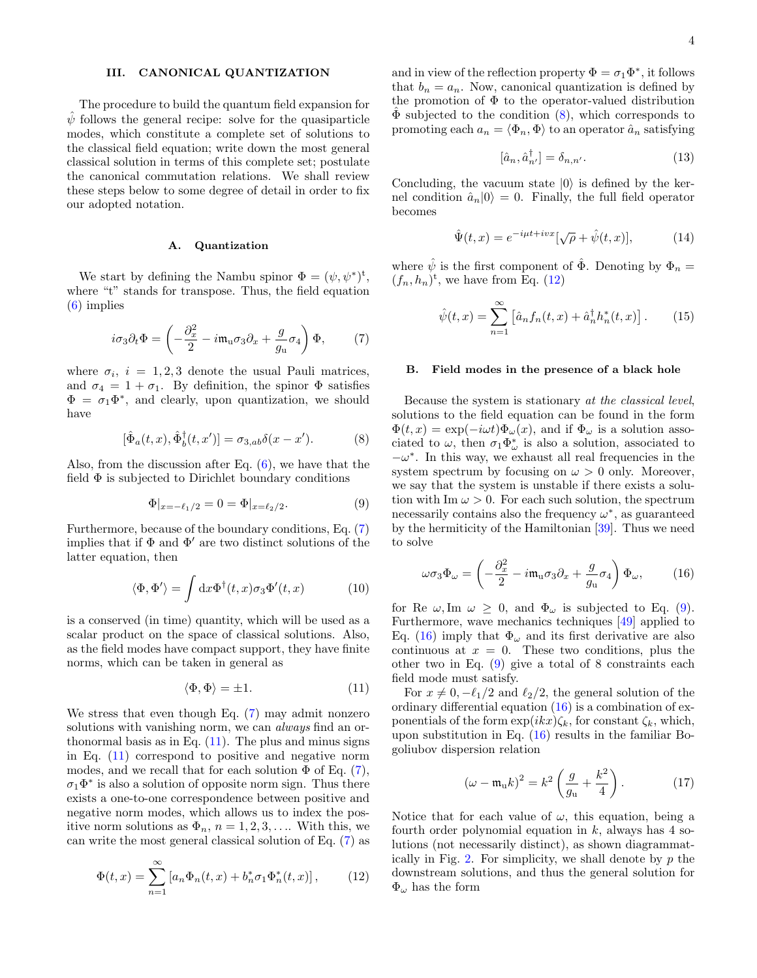# <span id="page-3-8"></span>III. CANONICAL QUANTIZATION

The procedure to build the quantum field expansion for  $\hat{\psi}$  follows the general recipe: solve for the quasiparticle modes, which constitute a complete set of solutions to the classical field equation; write down the most general classical solution in terms of this complete set; postulate the canonical commutation relations. We shall review these steps below to some degree of detail in order to fix our adopted notation.

## A. Quantization

We start by defining the Nambu spinor  $\Phi = (\psi, \psi^*)^t$ , where "t" stands for transpose. Thus, the field equation [\(6\)](#page-2-3) implies

<span id="page-3-0"></span>
$$
i\sigma_3 \partial_t \Phi = \left(-\frac{\partial_x^2}{2} - i\mathfrak{m}_\mathbf{u}\sigma_3 \partial_x + \frac{g}{g_\mathbf{u}}\sigma_4\right)\Phi,\tag{7}
$$

where  $\sigma_i$ ,  $i = 1, 2, 3$  denote the usual Pauli matrices, and  $\sigma_4 = 1 + \sigma_1$ . By definition, the spinor  $\Phi$  satisfies  $\Phi = \sigma_1 \Phi^*$ , and clearly, upon quantization, we should have

$$
[\hat{\Phi}_a(t,x), \hat{\Phi}_b^\dagger(t,x')] = \sigma_{3,ab}\delta(x-x'). \tag{8}
$$

Also, from the discussion after Eq. [\(6\)](#page-2-3), we have that the field  $\Phi$  is subjected to Dirichlet boundary conditions

$$
\Phi|_{x=-\ell_1/2} = 0 = \Phi|_{x=\ell_2/2}.\tag{9}
$$

Furthermore, because of the boundary conditions, Eq. [\(7\)](#page-3-0) implies that if  $\Phi$  and  $\Phi'$  are two distinct solutions of the latter equation, then

<span id="page-3-9"></span>
$$
\langle \Phi, \Phi' \rangle = \int dx \Phi^{\dagger}(t, x) \sigma_3 \Phi'(t, x) \tag{10}
$$

is a conserved (in time) quantity, which will be used as a scalar product on the space of classical solutions. Also, as the field modes have compact support, they have finite norms, which can be taken in general as

<span id="page-3-1"></span>
$$
\langle \Phi, \Phi \rangle = \pm 1. \tag{11}
$$

We stress that even though Eq. [\(7\)](#page-3-0) may admit nonzero solutions with vanishing norm, we can *always* find an orthonormal basis as in Eq.  $(11)$ . The plus and minus signs in Eq. [\(11\)](#page-3-1) correspond to positive and negative norm modes, and we recall that for each solution  $\Phi$  of Eq. [\(7\)](#page-3-0),  $\sigma_1 \Phi^*$  is also a solution of opposite norm sign. Thus there exists a one-to-one correspondence between positive and negative norm modes, which allows us to index the positive norm solutions as  $\Phi_n$ ,  $n = 1, 2, 3, \ldots$  With this, we can write the most general classical solution of Eq. [\(7\)](#page-3-0) as

<span id="page-3-3"></span>
$$
\Phi(t,x) = \sum_{n=1}^{\infty} \left[ a_n \Phi_n(t,x) + b_n^* \sigma_1 \Phi_n^*(t,x) \right],\tag{12}
$$

and in view of the reflection property  $\Phi = \sigma_1 \Phi^*$ , it follows that  $b_n = a_n$ . Now, canonical quantization is defined by the promotion of  $\Phi$  to the operator-valued distribution  $\Phi$  subjected to the condition  $(8)$  $(8)$ , which corresponds to promoting each  $a_n = \langle \Phi_n, \Phi \rangle$  to an operator  $\hat{a}_n$  satisfying

$$
[\hat{a}_n, \hat{a}_{n'}^\dagger] = \delta_{n,n'}.\tag{13}
$$

Concluding, the vacuum state  $|0\rangle$  is defined by the kernel condition  $\hat{a}_n|0\rangle = 0$ . Finally, the full field operator becomes

<span id="page-3-10"></span>
$$
\hat{\Psi}(t,x) = e^{-i\mu t + ivx} [\sqrt{\rho} + \hat{\psi}(t,x)],\tag{14}
$$

where  $\hat{\psi}$  is the first component of  $\hat{\Phi}$ . Denoting by  $\Phi_n =$  $(f_n, h_n)^t$ , we have from Eq. [\(12\)](#page-3-3)

<span id="page-3-11"></span>
$$
\hat{\psi}(t,x) = \sum_{n=1}^{\infty} \left[ \hat{a}_n f_n(t,x) + \hat{a}_n^{\dagger} h_n^*(t,x) \right]. \tag{15}
$$

#### <span id="page-3-7"></span>B. Field modes in the presence of a black hole

<span id="page-3-2"></span>Because the system is stationary at the classical level, solutions to the field equation can be found in the form  $\Phi(t, x) = \exp(-i\omega t)\Phi_{\omega}(x)$ , and if  $\Phi_{\omega}$  is a solution associated to  $\omega$ , then  $\sigma_1 \Phi^*_{\omega}$  is also a solution, associated to  $-\omega^*$ . In this way, we exhaust all real frequencies in the system spectrum by focusing on  $\omega > 0$  only. Moreover, we say that the system is unstable if there exists a solution with Im  $\omega > 0$ . For each such solution, the spectrum necessarily contains also the frequency  $\omega^*$ , as guaranteed by the hermiticity of the Hamiltonian [\[39\]](#page-11-13). Thus we need to solve

<span id="page-3-5"></span><span id="page-3-4"></span>
$$
\omega \sigma_3 \Phi_\omega = \left( -\frac{\partial_x^2}{2} - i \mathfrak{m}_\mathbf{u} \sigma_3 \partial_x + \frac{g}{g_\mathbf{u}} \sigma_4 \right) \Phi_\omega, \tag{16}
$$

for Re  $\omega$ , Im  $\omega \geq 0$ , and  $\Phi_{\omega}$  is subjected to Eq. [\(9\)](#page-3-4). Furthermore, wave mechanics techniques [\[49\]](#page-11-23) applied to Eq. [\(16\)](#page-3-5) imply that  $\Phi_{\omega}$  and its first derivative are also continuous at  $x = 0$ . These two conditions, plus the other two in Eq. [\(9\)](#page-3-4) give a total of 8 constraints each field mode must satisfy.

For  $x \neq 0, -\ell_1/2$  and  $\ell_2/2$ , the general solution of the ordinary differential equation [\(16\)](#page-3-5) is a combination of exponentials of the form  $\exp(ikx)\zeta_k$ , for constant  $\zeta_k$ , which, upon substitution in Eq. [\(16\)](#page-3-5) results in the familiar Bogoliubov dispersion relation

<span id="page-3-6"></span>
$$
\left(\omega - \mathfrak{m}_{\mathrm{u}}k\right)^{2} = k^{2}\left(\frac{g}{g_{\mathrm{u}}} + \frac{k^{2}}{4}\right). \tag{17}
$$

Notice that for each value of  $\omega$ , this equation, being a fourth order polynomial equation in  $k$ , always has 4 solutions (not necessarily distinct), as shown diagrammat-ically in Fig. [2.](#page-4-0) For simplicity, we shall denote by  $p$  the downstream solutions, and thus the general solution for  $\Phi_{\omega}$  has the form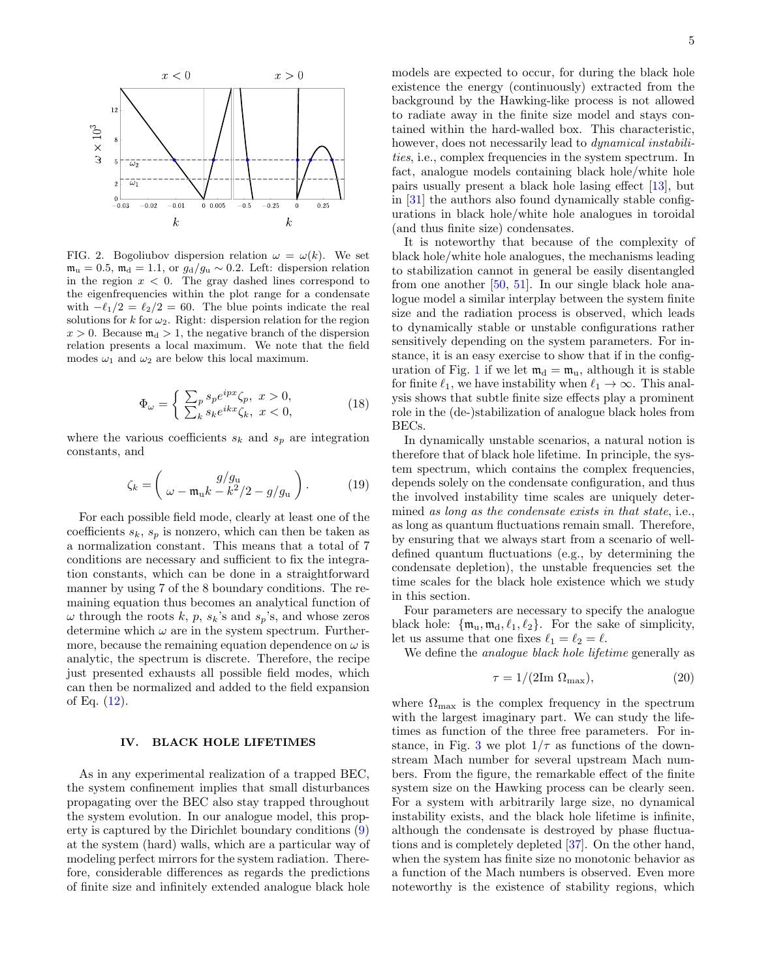

<span id="page-4-0"></span>FIG. 2. Bogoliubov dispersion relation  $\omega = \omega(k)$ . We set  $m<sub>u</sub> = 0.5$ ,  $m<sub>d</sub> = 1.1$ , or  $g<sub>d</sub>/g<sub>u</sub> ∼ 0.2$ . Left: dispersion relation in the region  $x < 0$ . The gray dashed lines correspond to the eigenfrequencies within the plot range for a condensate with  $-\ell_1/2 = \ell_2/2 = 60$ . The blue points indicate the real solutions for  $k$  for  $\omega_2$ . Right: dispersion relation for the region  $x > 0$ . Because  $m_d > 1$ , the negative branch of the dispersion relation presents a local maximum. We note that the field modes  $\omega_1$  and  $\omega_2$  are below this local maximum.

$$
\Phi_{\omega} = \begin{cases}\n\sum_{p} s_p e^{ipx} \zeta_p, \ x > 0, \\
\sum_{k} s_k e^{ikx} \zeta_k, \ x < 0,\n\end{cases}
$$
\n(18)

where the various coefficients  $s_k$  and  $s_p$  are integration constants, and

$$
\zeta_k = \left(\frac{g/g_u}{\omega - \mathfrak{m}_u k - k^2/2 - g/g_u}\right). \tag{19}
$$

For each possible field mode, clearly at least one of the coefficients  $s_k$ ,  $s_p$  is nonzero, which can then be taken as a normalization constant. This means that a total of 7 conditions are necessary and sufficient to fix the integration constants, which can be done in a straightforward manner by using 7 of the 8 boundary conditions. The remaining equation thus becomes an analytical function of  $\omega$  through the roots k, p,  $s_k$ 's and  $s_p$ 's, and whose zeros determine which  $\omega$  are in the system spectrum. Furthermore, because the remaining equation dependence on  $\omega$  is analytic, the spectrum is discrete. Therefore, the recipe just presented exhausts all possible field modes, which can then be normalized and added to the field expansion of Eq. [\(12\)](#page-3-3).

#### <span id="page-4-1"></span>IV. BLACK HOLE LIFETIMES

As in any experimental realization of a trapped BEC, the system confinement implies that small disturbances propagating over the BEC also stay trapped throughout the system evolution. In our analogue model, this property is captured by the Dirichlet boundary conditions [\(9\)](#page-3-4) at the system (hard) walls, which are a particular way of modeling perfect mirrors for the system radiation. Therefore, considerable differences as regards the predictions of finite size and infinitely extended analogue black hole

models are expected to occur, for during the black hole existence the energy (continuously) extracted from the background by the Hawking-like process is not allowed to radiate away in the finite size model and stays contained within the hard-walled box. This characteristic, however, does not necessarily lead to *dynamical instabili*ties, i.e., complex frequencies in the system spectrum. In fact, analogue models containing black hole/white hole pairs usually present a black hole lasing effect [\[13\]](#page-10-10), but in [\[31\]](#page-11-7) the authors also found dynamically stable configurations in black hole/white hole analogues in toroidal (and thus finite size) condensates.

It is noteworthy that because of the complexity of black hole/white hole analogues, the mechanisms leading to stabilization cannot in general be easily disentangled from one another  $[50, 51]$  $[50, 51]$  $[50, 51]$ . In our single black hole analogue model a similar interplay between the system finite size and the radiation process is observed, which leads to dynamically stable or unstable configurations rather sensitively depending on the system parameters. For instance, it is an easy exercise to show that if in the config-uration of Fig. [1](#page-2-0) if we let  $m_d = m_u$ , although it is stable for finite  $\ell_1$ , we have instability when  $\ell_1 \rightarrow \infty$ . This analysis shows that subtle finite size effects play a prominent role in the (de-)stabilization of analogue black holes from BECs.

In dynamically unstable scenarios, a natural notion is therefore that of black hole lifetime. In principle, the system spectrum, which contains the complex frequencies, depends solely on the condensate configuration, and thus the involved instability time scales are uniquely determined as long as the condensate exists in that state, i.e., as long as quantum fluctuations remain small. Therefore, by ensuring that we always start from a scenario of welldefined quantum fluctuations (e.g., by determining the condensate depletion), the unstable frequencies set the time scales for the black hole existence which we study in this section.

Four parameters are necessary to specify the analogue black hole:  $\{\mathfrak{m}_u, \mathfrak{m}_d, \ell_1, \ell_2\}$ . For the sake of simplicity, let us assume that one fixes  $\ell_1 = \ell_2 = \ell$ .

We define the *analogue black hole lifetime* generally as

<span id="page-4-2"></span>
$$
\tau = 1/(2\text{Im }\Omega_{\text{max}}),\tag{20}
$$

where  $\Omega_{\text{max}}$  is the complex frequency in the spectrum with the largest imaginary part. We can study the lifetimes as function of the three free parameters. For in-stance, in Fig. [3](#page-5-0) we plot  $1/\tau$  as functions of the downstream Mach number for several upstream Mach numbers. From the figure, the remarkable effect of the finite system size on the Hawking process can be clearly seen. For a system with arbitrarily large size, no dynamical instability exists, and the black hole lifetime is infinite, although the condensate is destroyed by phase fluctuations and is completely depleted [\[37\]](#page-11-11). On the other hand, when the system has finite size no monotonic behavior as a function of the Mach numbers is observed. Even more noteworthy is the existence of stability regions, which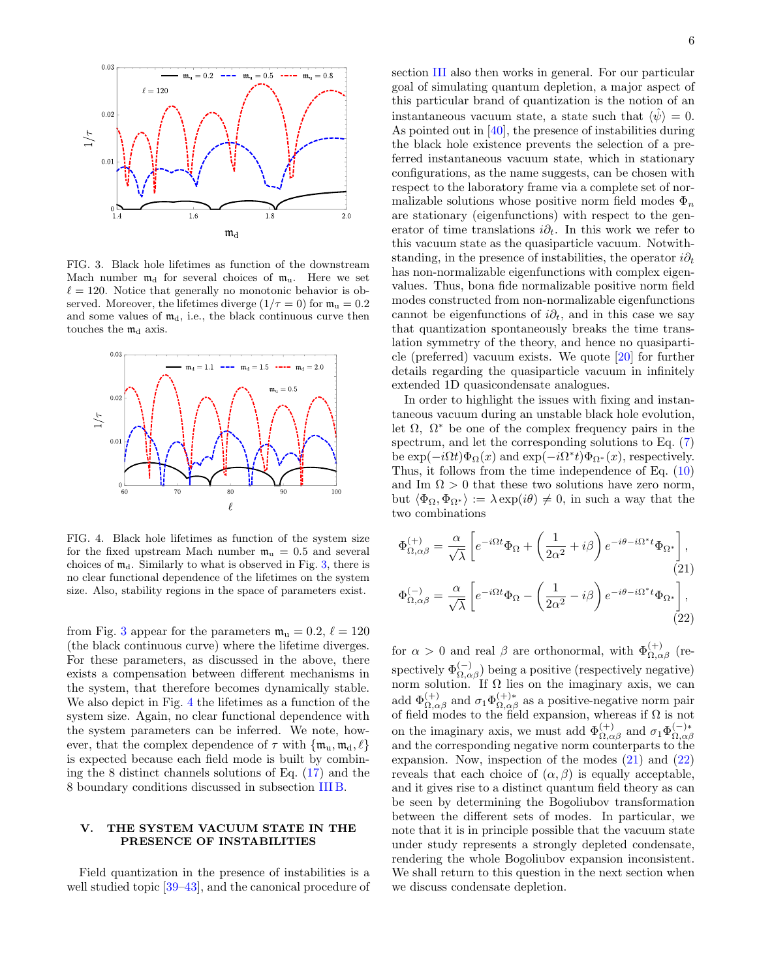

<span id="page-5-0"></span>FIG. 3. Black hole lifetimes as function of the downstream Mach number  $m_d$  for several choices of  $m_u$ . Here we set  $\ell = 120$ . Notice that generally no monotonic behavior is observed. Moreover, the lifetimes diverge  $(1/\tau = 0)$  for  $\mathfrak{m}_{\mathfrak{u}} = 0.2$ and some values of  $m_d$ , i.e., the black continuous curve then touches the  $m_d$  axis.



<span id="page-5-1"></span>FIG. 4. Black hole lifetimes as function of the system size for the fixed upstream Mach number  $m_u = 0.5$  and several choices of  $m_d$ . Similarly to what is observed in Fig. [3,](#page-5-0) there is no clear functional dependence of the lifetimes on the system size. Also, stability regions in the space of parameters exist.

from Fig. [3](#page-5-0) appear for the parameters  $\mathfrak{m}_u = 0.2, \ell = 120$ (the black continuous curve) where the lifetime diverges. For these parameters, as discussed in the above, there exists a compensation between different mechanisms in the system, that therefore becomes dynamically stable. We also depict in Fig. [4](#page-5-1) the lifetimes as a function of the system size. Again, no clear functional dependence with the system parameters can be inferred. We note, however, that the complex dependence of  $\tau$  with  $\{\mathfrak{m}_{u}, \mathfrak{m}_{d}, \ell\}$ is expected because each field mode is built by combining the 8 distinct channels solutions of Eq. [\(17\)](#page-3-6) and the 8 boundary conditions discussed in subsection [III B.](#page-3-7)

# <span id="page-5-4"></span>V. THE SYSTEM VACUUM STATE IN THE PRESENCE OF INSTABILITIES

Field quantization in the presence of instabilities is a well studied topic [\[39](#page-11-13)[–43\]](#page-11-16), and the canonical procedure of section [III](#page-3-8) also then works in general. For our particular goal of simulating quantum depletion, a major aspect of this particular brand of quantization is the notion of an instantaneous vacuum state, a state such that  $\langle \hat{\psi} \rangle = 0$ . As pointed out in [\[40\]](#page-11-26), the presence of instabilities during the black hole existence prevents the selection of a preferred instantaneous vacuum state, which in stationary configurations, as the name suggests, can be chosen with respect to the laboratory frame via a complete set of normalizable solutions whose positive norm field modes  $\Phi_n$ are stationary (eigenfunctions) with respect to the generator of time translations  $i\partial_t$ . In this work we refer to this vacuum state as the quasiparticle vacuum. Notwithstanding, in the presence of instabilities, the operator  $i\partial_t$ has non-normalizable eigenfunctions with complex eigenvalues. Thus, bona fide normalizable positive norm field modes constructed from non-normalizable eigenfunctions cannot be eigenfunctions of  $i\partial_t$ , and in this case we say that quantization spontaneously breaks the time translation symmetry of the theory, and hence no quasiparticle (preferred) vacuum exists. We quote [\[20\]](#page-11-27) for further details regarding the quasiparticle vacuum in infinitely extended 1D quasicondensate analogues.

In order to highlight the issues with fixing and instantaneous vacuum during an unstable black hole evolution, let  $\Omega$ ,  $\Omega^*$  be one of the complex frequency pairs in the spectrum, and let the corresponding solutions to Eq.  $(7)$ be  $\exp(-i\Omega t)\Phi_{\Omega}(x)$  and  $\exp(-i\Omega^* t)\Phi_{\Omega^*}(x)$ , respectively. Thus, it follows from the time independence of Eq. [\(10\)](#page-3-9) and Im  $\Omega > 0$  that these two solutions have zero norm, but  $\langle \Phi_{\Omega}, \Phi_{\Omega^*} \rangle := \lambda \exp(i\theta) \neq 0$ , in such a way that the two combinations

<span id="page-5-3"></span><span id="page-5-2"></span>
$$
\Phi_{\Omega,\alpha\beta}^{(+)} = \frac{\alpha}{\sqrt{\lambda}} \left[ e^{-i\Omega t} \Phi_{\Omega} + \left( \frac{1}{2\alpha^2} + i\beta \right) e^{-i\theta - i\Omega^* t} \Phi_{\Omega^*} \right],
$$
\n
$$
\Phi_{\Omega,\alpha\beta}^{(-)} = \frac{\alpha}{\sqrt{\lambda}} \left[ e^{-i\Omega t} \Phi_{\Omega} - \left( \frac{1}{2\alpha^2} - i\beta \right) e^{-i\theta - i\Omega^* t} \Phi_{\Omega^*} \right],
$$
\n(22)

for  $\alpha > 0$  and real  $\beta$  are orthonormal, with  $\Phi_{\Omega,\alpha\beta}^{(+)}$  (respectively  $\Phi_{\Omega,\alpha\beta}^{(-)}$ ) being a positive (respectively negative) norm solution. If  $\Omega$  lies on the imaginary axis, we can add  $\Phi_{\Omega,\alpha\beta}^{(+)}$  and  $\sigma_1 \Phi_{\Omega,\alpha\beta}^{(+)*}$  as a positive-negative norm pair of field modes to the field expansion, whereas if  $\Omega$  is not on the imaginary axis, we must add  $\Phi_{\Omega,\alpha\beta}^{(+)}$  and  $\sigma_1\Phi_{\Omega,\alpha\beta}^{(-)*}$  $\Omega, \alpha \beta$ and the corresponding negative norm counterparts to the expansion. Now, inspection of the modes [\(21\)](#page-5-2) and [\(22\)](#page-5-3) reveals that each choice of  $(\alpha, \beta)$  is equally acceptable, and it gives rise to a distinct quantum field theory as can be seen by determining the Bogoliubov transformation between the different sets of modes. In particular, we note that it is in principle possible that the vacuum state under study represents a strongly depleted condensate, rendering the whole Bogoliubov expansion inconsistent. We shall return to this question in the next section when we discuss condensate depletion.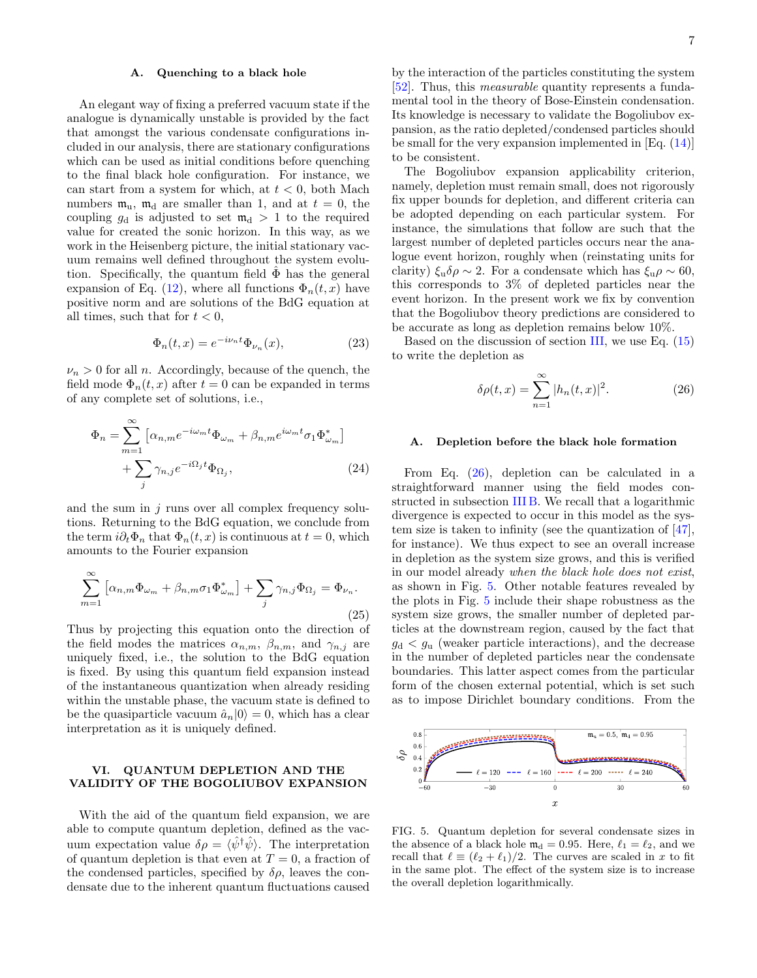## <span id="page-6-2"></span>A. Quenching to a black hole

An elegant way of fixing a preferred vacuum state if the analogue is dynamically unstable is provided by the fact that amongst the various condensate configurations included in our analysis, there are stationary configurations which can be used as initial conditions before quenching to the final black hole configuration. For instance, we can start from a system for which, at  $t < 0$ , both Mach numbers  $m_u$ ,  $m_d$  are smaller than 1, and at  $t = 0$ , the coupling  $g_d$  is adjusted to set  $m_d > 1$  to the required value for created the sonic horizon. In this way, as we work in the Heisenberg picture, the initial stationary vacuum remains well defined throughout the system evolution. Specifically, the quantum field  $\hat{\Phi}$  has the general expansion of Eq. [\(12\)](#page-3-3), where all functions  $\Phi_n(t, x)$  have positive norm and are solutions of the BdG equation at all times, such that for  $t < 0$ ,

$$
\Phi_n(t,x) = e^{-i\nu_n t} \Phi_{\nu_n}(x),\tag{23}
$$

 $\nu_n > 0$  for all *n*. Accordingly, because of the quench, the field mode  $\Phi_n(t, x)$  after  $t = 0$  can be expanded in terms of any complete set of solutions, i.e.,

$$
\Phi_n = \sum_{m=1}^{\infty} \left[ \alpha_{n,m} e^{-i\omega_m t} \Phi_{\omega_m} + \beta_{n,m} e^{i\omega_m t} \sigma_1 \Phi_{\omega_m}^* \right] + \sum_j \gamma_{n,j} e^{-i\Omega_j t} \Phi_{\Omega_j},
$$
\n(24)

and the sum in  $j$  runs over all complex frequency solutions. Returning to the BdG equation, we conclude from the term  $i\partial_t \Phi_n$  that  $\Phi_n(t, x)$  is continuous at  $t = 0$ , which amounts to the Fourier expansion

$$
\sum_{m=1}^{\infty} \left[ \alpha_{n,m} \Phi_{\omega_m} + \beta_{n,m} \sigma_1 \Phi_{\omega_m}^* \right] + \sum_j \gamma_{n,j} \Phi_{\Omega_j} = \Phi_{\nu_n}.
$$
\n(25)

Thus by projecting this equation onto the direction of the field modes the matrices  $\alpha_{n,m}$ ,  $\beta_{n,m}$ , and  $\gamma_{n,j}$  are uniquely fixed, i.e., the solution to the BdG equation is fixed. By using this quantum field expansion instead of the instantaneous quantization when already residing within the unstable phase, the vacuum state is defined to be the quasiparticle vacuum  $\hat{a}_n|0\rangle = 0$ , which has a clear interpretation as it is uniquely defined.

# VI. QUANTUM DEPLETION AND THE VALIDITY OF THE BOGOLIUBOV EXPANSION

With the aid of the quantum field expansion, we are able to compute quantum depletion, defined as the vacuum expectation value  $\delta \rho = \langle \hat{\psi}^{\dagger} \hat{\psi} \rangle$ . The interpretation of quantum depletion is that even at  $T = 0$ , a fraction of the condensed particles, specified by  $\delta \rho$ , leaves the condensate due to the inherent quantum fluctuations caused

by the interaction of the particles constituting the system [\[52\]](#page-11-28). Thus, this measurable quantity represents a fundamental tool in the theory of Bose-Einstein condensation. Its knowledge is necessary to validate the Bogoliubov expansion, as the ratio depleted/condensed particles should be small for the very expansion implemented in [Eq. [\(14\)](#page-3-10)] to be consistent.

The Bogoliubov expansion applicability criterion, namely, depletion must remain small, does not rigorously fix upper bounds for depletion, and different criteria can be adopted depending on each particular system. For instance, the simulations that follow are such that the largest number of depleted particles occurs near the analogue event horizon, roughly when (reinstating units for clarity)  $\xi_u \delta \rho \sim 2$ . For a condensate which has  $\xi_u \rho \sim 60$ , this corresponds to 3% of depleted particles near the event horizon. In the present work we fix by convention that the Bogoliubov theory predictions are considered to be accurate as long as depletion remains below 10%.

Based on the discussion of section [III,](#page-3-8) we use Eq. [\(15\)](#page-3-11) to write the depletion as

<span id="page-6-0"></span>
$$
\delta \rho(t, x) = \sum_{n=1}^{\infty} |h_n(t, x)|^2.
$$
 (26)

#### A. Depletion before the black hole formation

From Eq. [\(26\)](#page-6-0), depletion can be calculated in a straightforward manner using the field modes constructed in subsection [III B.](#page-3-7) We recall that a logarithmic divergence is expected to occur in this model as the system size is taken to infinity (see the quantization of [\[47\]](#page-11-21), for instance). We thus expect to see an overall increase in depletion as the system size grows, and this is verified in our model already when the black hole does not exist, as shown in Fig. [5.](#page-6-1) Other notable features revealed by the plots in Fig. [5](#page-6-1) include their shape robustness as the system size grows, the smaller number of depleted particles at the downstream region, caused by the fact that  $g_d < g_u$  (weaker particle interactions), and the decrease in the number of depleted particles near the condensate boundaries. This latter aspect comes from the particular form of the chosen external potential, which is set such as to impose Dirichlet boundary conditions. From the



<span id="page-6-1"></span>FIG. 5. Quantum depletion for several condensate sizes in the absence of a black hole  $m_d = 0.95$ . Here,  $\ell_1 = \ell_2$ , and we recall that  $\ell \equiv (\ell_2 + \ell_1)/2$ . The curves are scaled in x to fit in the same plot. The effect of the system size is to increase the overall depletion logarithmically.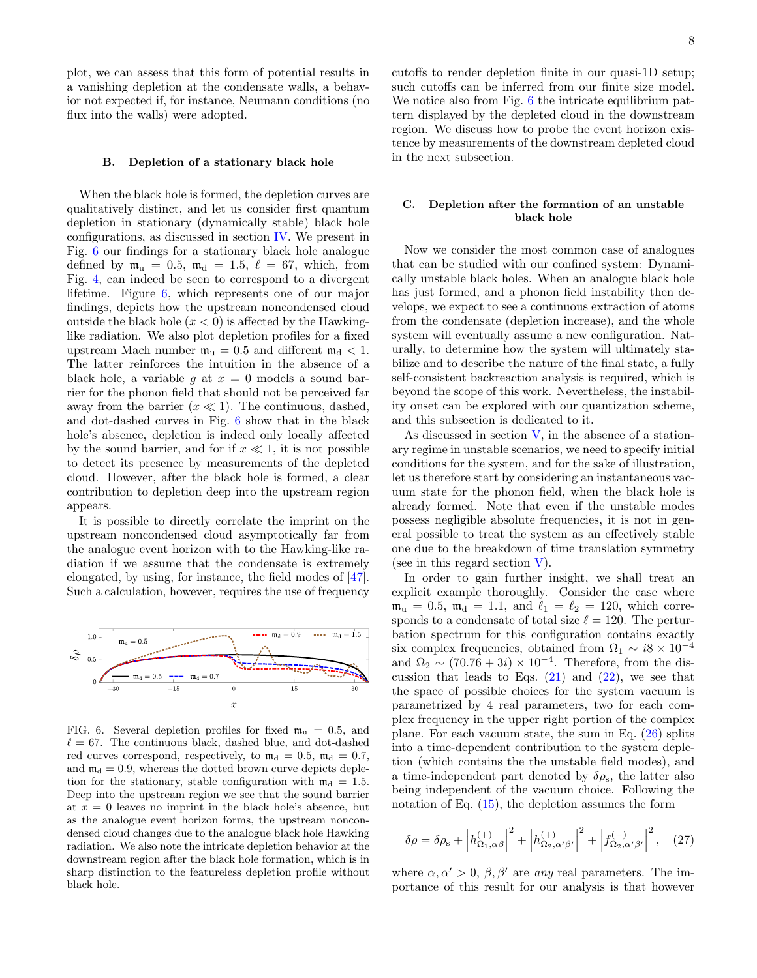plot, we can assess that this form of potential results in a vanishing depletion at the condensate walls, a behavior not expected if, for instance, Neumann conditions (no flux into the walls) were adopted.

#### <span id="page-7-2"></span>B. Depletion of a stationary black hole

When the black hole is formed, the depletion curves are qualitatively distinct, and let us consider first quantum depletion in stationary (dynamically stable) black hole configurations, as discussed in section [IV.](#page-4-1) We present in Fig. [6](#page-7-0) our findings for a stationary black hole analogue defined by  $\mathfrak{m}_u = 0.5$ ,  $\mathfrak{m}_d = 1.5$ ,  $\ell = 67$ , which, from Fig. [4,](#page-5-1) can indeed be seen to correspond to a divergent lifetime. Figure [6,](#page-7-0) which represents one of our major findings, depicts how the upstream noncondensed cloud outside the black hole  $(x < 0)$  is affected by the Hawkinglike radiation. We also plot depletion profiles for a fixed upstream Mach number  $\mathfrak{m}_u = 0.5$  and different  $\mathfrak{m}_d < 1$ . The latter reinforces the intuition in the absence of a black hole, a variable g at  $x = 0$  models a sound barrier for the phonon field that should not be perceived far away from the barrier  $(x \ll 1)$ . The continuous, dashed, and dot-dashed curves in Fig. [6](#page-7-0) show that in the black hole's absence, depletion is indeed only locally affected by the sound barrier, and for if  $x \ll 1$ , it is not possible to detect its presence by measurements of the depleted cloud. However, after the black hole is formed, a clear contribution to depletion deep into the upstream region appears.

It is possible to directly correlate the imprint on the upstream noncondensed cloud asymptotically far from the analogue event horizon with to the Hawking-like radiation if we assume that the condensate is extremely elongated, by using, for instance, the field modes of [\[47\]](#page-11-21). Such a calculation, however, requires the use of frequency



<span id="page-7-0"></span>FIG. 6. Several depletion profiles for fixed  $\mathfrak{m}_{\mathfrak{u}} = 0.5$ , and  $\ell = 67$ . The continuous black, dashed blue, and dot-dashed red curves correspond, respectively, to  $m_d = 0.5$ ,  $m_d = 0.7$ , and  $m_d = 0.9$ , whereas the dotted brown curve depicts depletion for the stationary, stable configuration with  $m_d = 1.5$ . Deep into the upstream region we see that the sound barrier at  $x = 0$  leaves no imprint in the black hole's absence, but as the analogue event horizon forms, the upstream noncondensed cloud changes due to the analogue black hole Hawking radiation. We also note the intricate depletion behavior at the downstream region after the black hole formation, which is in sharp distinction to the featureless depletion profile without black hole.

cutoffs to render depletion finite in our quasi-1D setup; such cutoffs can be inferred from our finite size model. We notice also from Fig. [6](#page-7-0) the intricate equilibrium pattern displayed by the depleted cloud in the downstream region. We discuss how to probe the event horizon existence by measurements of the downstream depleted cloud in the next subsection.

## C. Depletion after the formation of an unstable black hole

Now we consider the most common case of analogues that can be studied with our confined system: Dynamically unstable black holes. When an analogue black hole has just formed, and a phonon field instability then develops, we expect to see a continuous extraction of atoms from the condensate (depletion increase), and the whole system will eventually assume a new configuration. Naturally, to determine how the system will ultimately stabilize and to describe the nature of the final state, a fully self-consistent backreaction analysis is required, which is beyond the scope of this work. Nevertheless, the instability onset can be explored with our quantization scheme, and this subsection is dedicated to it.

As discussed in section  $V$ , in the absence of a stationary regime in unstable scenarios, we need to specify initial conditions for the system, and for the sake of illustration, let us therefore start by considering an instantaneous vacuum state for the phonon field, when the black hole is already formed. Note that even if the unstable modes possess negligible absolute frequencies, it is not in general possible to treat the system as an effectively stable one due to the breakdown of time translation symmetry (see in this regard section [V\)](#page-5-4).

In order to gain further insight, we shall treat an explicit example thoroughly. Consider the case where  $m_u = 0.5$ ,  $m_d = 1.1$ , and  $\ell_1 = \ell_2 = 120$ , which corresponds to a condensate of total size  $\ell = 120$ . The perturbation spectrum for this configuration contains exactly six complex frequencies, obtained from  $\Omega_1 \sim i8 \times 10^{-4}$ and  $\Omega_2 \sim (70.76 + 3i) \times 10^{-4}$ . Therefore, from the discussion that leads to Eqs.  $(21)$  and  $(22)$ , we see that the space of possible choices for the system vacuum is parametrized by 4 real parameters, two for each complex frequency in the upper right portion of the complex plane. For each vacuum state, the sum in Eq. [\(26\)](#page-6-0) splits into a time-dependent contribution to the system depletion (which contains the the unstable field modes), and a time-independent part denoted by  $\delta \rho_s$ , the latter also being independent of the vacuum choice. Following the notation of Eq.  $(15)$ , the depletion assumes the form

<span id="page-7-1"></span>
$$
\delta \rho = \delta \rho_s + \left| h_{\Omega_1, \alpha \beta}^{(+)} \right|^2 + \left| h_{\Omega_2, \alpha' \beta'}^{(+)} \right|^2 + \left| f_{\Omega_2, \alpha' \beta'}^{(-)} \right|^2, \quad (27)
$$

where  $\alpha, \alpha' > 0$ ,  $\beta, \beta'$  are any real parameters. The importance of this result for our analysis is that however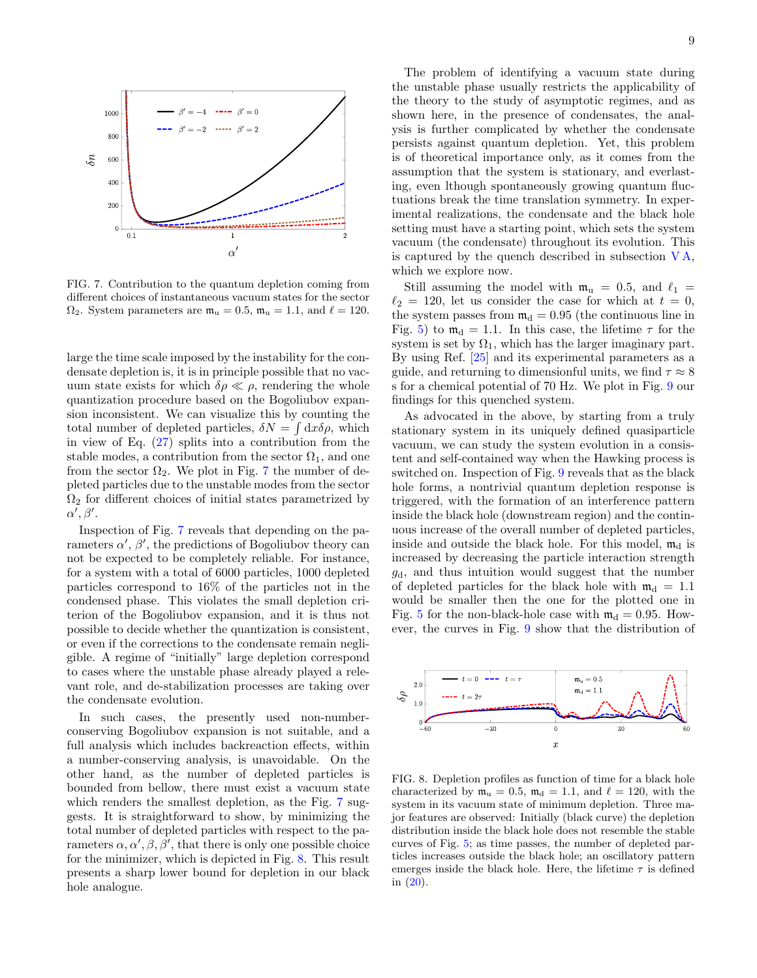

<span id="page-8-0"></span>FIG. 7. Contribution to the quantum depletion coming from different choices of instantaneous vacuum states for the sector  $\Omega_2$ . System parameters are  $\mathfrak{m}_u = 0.5$ ,  $\mathfrak{m}_u = 1.1$ , and  $\ell = 120$ .

large the time scale imposed by the instability for the condensate depletion is, it is in principle possible that no vacuum state exists for which  $\delta \rho \ll \rho$ , rendering the whole quantization procedure based on the Bogoliubov expansion inconsistent. We can visualize this by counting the total number of depleted particles,  $\delta N = \int dx \delta \rho$ , which in view of Eq.  $(27)$  splits into a contribution from the stable modes, a contribution from the sector  $\Omega_1$ , and one from the sector  $\Omega_2$ . We plot in Fig. [7](#page-8-0) the number of depleted particles due to the unstable modes from the sector  $\Omega_2$  for different choices of initial states parametrized by  $\alpha', \beta'.$ 

Inspection of Fig. [7](#page-8-0) reveals that depending on the parameters  $\alpha'$ ,  $\beta'$ , the predictions of Bogoliubov theory can not be expected to be completely reliable. For instance, for a system with a total of 6000 particles, 1000 depleted particles correspond to 16% of the particles not in the condensed phase. This violates the small depletion criterion of the Bogoliubov expansion, and it is thus not possible to decide whether the quantization is consistent, or even if the corrections to the condensate remain negligible. A regime of "initially" large depletion correspond to cases where the unstable phase already played a relevant role, and de-stabilization processes are taking over the condensate evolution.

In such cases, the presently used non-numberconserving Bogoliubov expansion is not suitable, and a full analysis which includes backreaction effects, within a number-conserving analysis, is unavoidable. On the other hand, as the number of depleted particles is bounded from bellow, there must exist a vacuum state which renders the smallest depletion, as the Fig. [7](#page-8-0) suggests. It is straightforward to show, by minimizing the total number of depleted particles with respect to the parameters  $\alpha, \alpha', \beta, \beta'$ , that there is only one possible choice for the minimizer, which is depicted in Fig. [8.](#page-8-1) This result presents a sharp lower bound for depletion in our black hole analogue.

The problem of identifying a vacuum state during the unstable phase usually restricts the applicability of the theory to the study of asymptotic regimes, and as shown here, in the presence of condensates, the analysis is further complicated by whether the condensate persists against quantum depletion. Yet, this problem is of theoretical importance only, as it comes from the assumption that the system is stationary, and everlasting, even lthough spontaneously growing quantum fluctuations break the time translation symmetry. In experimental realizations, the condensate and the black hole setting must have a starting point, which sets the system vacuum (the condensate) throughout its evolution. This is captured by the quench described in subsection  $VA$ , which we explore now.

Still assuming the model with  $m_u = 0.5$ , and  $\ell_1 =$  $\ell_2 = 120$ , let us consider the case for which at  $t = 0$ , the system passes from  $m_d = 0.95$  (the continuous line in Fig. [5\)](#page-6-1) to  $m_d = 1.1$ . In this case, the lifetime  $\tau$  for the system is set by  $\Omega_1$ , which has the larger imaginary part. By using Ref. [\[25\]](#page-11-1) and its experimental parameters as a guide, and returning to dimensionful units, we find  $\tau \approx 8$ s for a chemical potential of 70 Hz. We plot in Fig. [9](#page-9-0) our findings for this quenched system.

As advocated in the above, by starting from a truly stationary system in its uniquely defined quasiparticle vacuum, we can study the system evolution in a consistent and self-contained way when the Hawking process is switched on. Inspection of Fig. [9](#page-9-0) reveals that as the black hole forms, a nontrivial quantum depletion response is triggered, with the formation of an interference pattern inside the black hole (downstream region) and the continuous increase of the overall number of depleted particles, inside and outside the black hole. For this model,  $m_d$  is increased by decreasing the particle interaction strength  $g<sub>d</sub>$ , and thus intuition would suggest that the number of depleted particles for the black hole with  $m_d = 1.1$ would be smaller then the one for the plotted one in Fig. [5](#page-6-1) for the non-black-hole case with  $m_d = 0.95$ . However, the curves in Fig. [9](#page-9-0) show that the distribution of



<span id="page-8-1"></span>FIG. 8. Depletion profiles as function of time for a black hole characterized by  $m_u = 0.5$ ,  $m_d = 1.1$ , and  $\ell = 120$ , with the system in its vacuum state of minimum depletion. Three major features are observed: Initially (black curve) the depletion distribution inside the black hole does not resemble the stable curves of Fig. [5;](#page-6-1) as time passes, the number of depleted particles increases outside the black hole; an oscillatory pattern emerges inside the black hole. Here, the lifetime  $\tau$  is defined in  $(20)$ .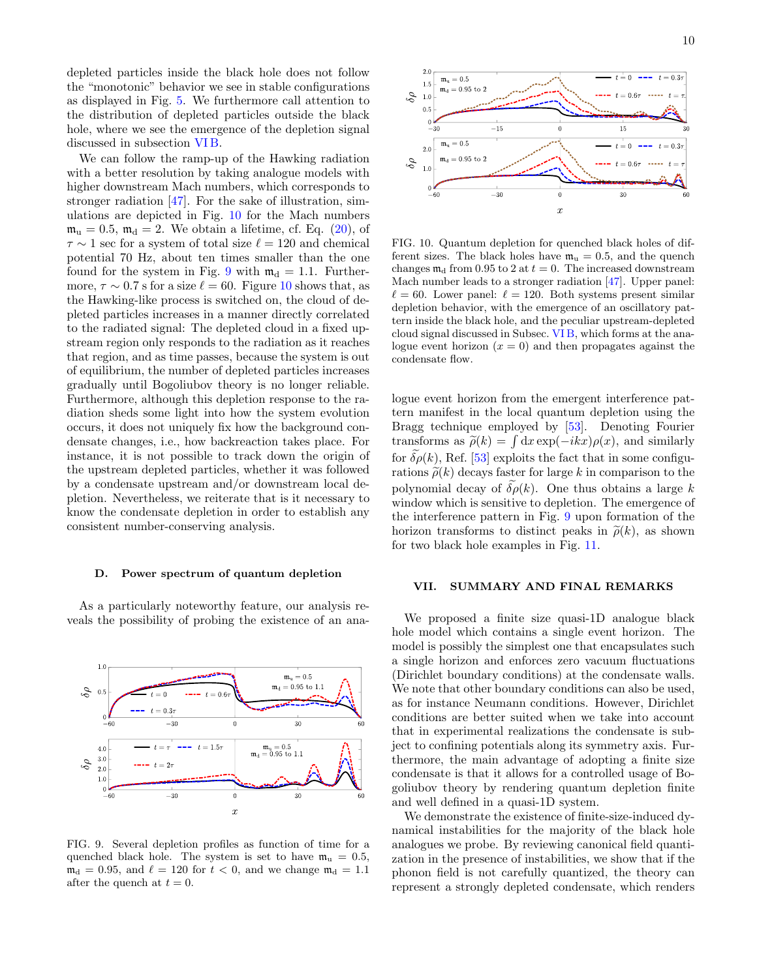depleted particles inside the black hole does not follow the "monotonic" behavior we see in stable configurations as displayed in Fig. [5.](#page-6-1) We furthermore call attention to the distribution of depleted particles outside the black hole, where we see the emergence of the depletion signal discussed in subsection [VI B.](#page-7-2)

We can follow the ramp-up of the Hawking radiation with a better resolution by taking analogue models with higher downstream Mach numbers, which corresponds to stronger radiation  $[47]$ . For the sake of illustration, simulations are depicted in Fig. [10](#page-9-1) for the Mach numbers  $m_u = 0.5$ ,  $m_d = 2$ . We obtain a lifetime, cf. Eq. [\(20\)](#page-4-2), of  $\tau \sim 1$  sec for a system of total size  $\ell = 120$  and chemical potential 70 Hz, about ten times smaller than the one found for the system in Fig. [9](#page-9-0) with  $m_d = 1.1$ . Furthermore,  $\tau \sim 0.7$  s for a size  $\ell = 60$ . Figure [10](#page-9-1) shows that, as the Hawking-like process is switched on, the cloud of depleted particles increases in a manner directly correlated to the radiated signal: The depleted cloud in a fixed upstream region only responds to the radiation as it reaches that region, and as time passes, because the system is out of equilibrium, the number of depleted particles increases gradually until Bogoliubov theory is no longer reliable. Furthermore, although this depletion response to the radiation sheds some light into how the system evolution occurs, it does not uniquely fix how the background condensate changes, i.e., how backreaction takes place. For instance, it is not possible to track down the origin of the upstream depleted particles, whether it was followed by a condensate upstream and/or downstream local depletion. Nevertheless, we reiterate that is it necessary to know the condensate depletion in order to establish any consistent number-conserving analysis.

#### D. Power spectrum of quantum depletion

As a particularly noteworthy feature, our analysis reveals the possibility of probing the existence of an ana-



<span id="page-9-0"></span>FIG. 9. Several depletion profiles as function of time for a quenched black hole. The system is set to have  $m_u = 0.5$ ,  $m_d = 0.95$ , and  $\ell = 120$  for  $t < 0$ , and we change  $m_d = 1.1$ after the quench at  $t = 0$ .



<span id="page-9-1"></span>FIG. 10. Quantum depletion for quenched black holes of different sizes. The black holes have  $m_u = 0.5$ , and the quench changes  $m_d$  from 0.95 to 2 at  $t = 0$ . The increased downstream Mach number leads to a stronger radiation [\[47\]](#page-11-21). Upper panel:  $\ell = 60$ . Lower panel:  $\ell = 120$ . Both systems present similar depletion behavior, with the emergence of an oscillatory pattern inside the black hole, and the peculiar upstream-depleted cloud signal discussed in Subsec. [VI B,](#page-7-2) which forms at the analogue event horizon  $(x = 0)$  and then propagates against the condensate flow.

logue event horizon from the emergent interference pattern manifest in the local quantum depletion using the Bragg technique employed by [\[53\]](#page-11-29). Denoting Fourier transforms as  $\tilde{\rho}(k) = \int dx \exp(-ikx)\rho(x)$ , and similarly for  $\delta \rho(k)$ , Ref. [\[53\]](#page-11-29) exploits the fact that in some configurations  $\tilde{\rho}(k)$  decays faster for large k in comparison to the polynomial decay of  $\tilde{\delta\rho}(k)$ . One thus obtains a large k window which is sensitive to depletion. The emergence of the interference pattern in Fig. [9](#page-9-0) upon formation of the horizon transforms to distinct peaks in  $\tilde{\rho}(k)$ , as shown for two black hole examples in Fig. [11.](#page-10-11)

## VII. SUMMARY AND FINAL REMARKS

We proposed a finite size quasi-1D analogue black hole model which contains a single event horizon. The model is possibly the simplest one that encapsulates such a single horizon and enforces zero vacuum fluctuations (Dirichlet boundary conditions) at the condensate walls. We note that other boundary conditions can also be used, as for instance Neumann conditions. However, Dirichlet conditions are better suited when we take into account that in experimental realizations the condensate is subject to confining potentials along its symmetry axis. Furthermore, the main advantage of adopting a finite size condensate is that it allows for a controlled usage of Bogoliubov theory by rendering quantum depletion finite and well defined in a quasi-1D system.

We demonstrate the existence of finite-size-induced dynamical instabilities for the majority of the black hole analogues we probe. By reviewing canonical field quantization in the presence of instabilities, we show that if the phonon field is not carefully quantized, the theory can represent a strongly depleted condensate, which renders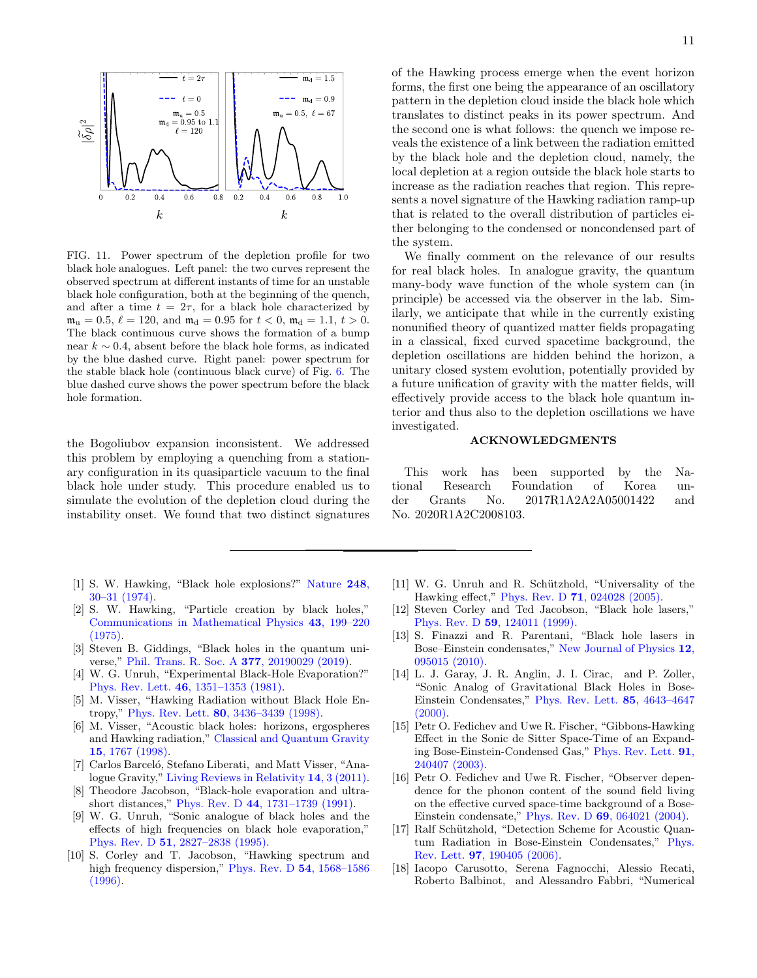

<span id="page-10-11"></span>FIG. 11. Power spectrum of the depletion profile for two black hole analogues. Left panel: the two curves represent the observed spectrum at different instants of time for an unstable black hole configuration, both at the beginning of the quench, and after a time  $t = 2\tau$ , for a black hole characterized by  $\mathfrak{m}_{\mathrm{u}} = 0.5, \, \ell = 120, \, \text{and} \, \mathfrak{m}_{\mathrm{d}} = 0.95 \, \text{for} \, t < 0, \, \mathfrak{m}_{\mathrm{d}} = 1.1, \, t > 0.$ The black continuous curve shows the formation of a bump near  $k \sim 0.4$ , absent before the black hole forms, as indicated by the blue dashed curve. Right panel: power spectrum for the stable black hole (continuous black curve) of Fig. [6.](#page-7-0) The blue dashed curve shows the power spectrum before the black hole formation.

the Bogoliubov expansion inconsistent. We addressed this problem by employing a quenching from a stationary configuration in its quasiparticle vacuum to the final black hole under study. This procedure enabled us to simulate the evolution of the depletion cloud during the instability onset. We found that two distinct signatures

- <span id="page-10-0"></span>[1] S. W. Hawking, "Black hole explosions?" [Nature](http://dx.doi.org/10.1038/248030a0) 248, [30–31 \(1974\).](http://dx.doi.org/10.1038/248030a0)
- <span id="page-10-1"></span>[2] S. W. Hawking, "Particle creation by black holes," [Communications in Mathematical Physics](http://dx.doi.org/10.1007/BF02345020) 43, 199–220 [\(1975\).](http://dx.doi.org/10.1007/BF02345020)
- <span id="page-10-2"></span>[3] Steven B. Giddings, "Black holes in the quantum universe," [Phil. Trans. R. Soc. A](http://dx.doi.org/ 10.1098/rsta.2019.0029) 377, 20190029 (2019).
- <span id="page-10-3"></span>[4] W. G. Unruh, "Experimental Black-Hole Evaporation?" Phys. Rev. Lett. 46[, 1351–1353 \(1981\).](http://dx.doi.org/10.1103/PhysRevLett.46.1351)
- <span id="page-10-9"></span>[5] M. Visser, "Hawking Radiation without Black Hole Entropy," Phys. Rev. Lett. 80[, 3436–3439 \(1998\).](http://dx.doi.org/ 10.1103/PhysRevLett.80.3436)
- [6] M. Visser, "Acoustic black holes: horizons, ergospheres and Hawking radiation," [Classical and Quantum Gravity](http://stacks.iop.org/0264-9381/15/i=6/a=024) 15[, 1767 \(1998\).](http://stacks.iop.org/0264-9381/15/i=6/a=024)
- <span id="page-10-4"></span>[7] Carlos Barceló, Stefano Liberati, and Matt Visser, "Analogue Gravity," [Living Reviews in Relativity](http://dx.doi.org/10.12942/lrr-2011-3) 14, 3 (2011).
- <span id="page-10-5"></span>[8] Theodore Jacobson, "Black-hole evaporation and ultrashort distances," Phys. Rev. D 44[, 1731–1739 \(1991\).](http://dx.doi.org/ 10.1103/PhysRevD.44.1731)
- [9] W. G. Unruh, "Sonic analogue of black holes and the effects of high frequencies on black hole evaporation," Phys. Rev. D 51[, 2827–2838 \(1995\).](http://dx.doi.org/10.1103/PhysRevD.51.2827)
- [10] S. Corley and T. Jacobson, "Hawking spectrum and high frequency dispersion," [Phys. Rev. D](http://dx.doi.org/ 10.1103/PhysRevD.54.1568) 54, 1568-1586 [\(1996\).](http://dx.doi.org/ 10.1103/PhysRevD.54.1568)

of the Hawking process emerge when the event horizon forms, the first one being the appearance of an oscillatory pattern in the depletion cloud inside the black hole which translates to distinct peaks in its power spectrum. And the second one is what follows: the quench we impose reveals the existence of a link between the radiation emitted by the black hole and the depletion cloud, namely, the local depletion at a region outside the black hole starts to increase as the radiation reaches that region. This represents a novel signature of the Hawking radiation ramp-up that is related to the overall distribution of particles either belonging to the condensed or noncondensed part of the system.

We finally comment on the relevance of our results for real black holes. In analogue gravity, the quantum many-body wave function of the whole system can (in principle) be accessed via the observer in the lab. Similarly, we anticipate that while in the currently existing nonunified theory of quantized matter fields propagating in a classical, fixed curved spacetime background, the depletion oscillations are hidden behind the horizon, a unitary closed system evolution, potentially provided by a future unification of gravity with the matter fields, will effectively provide access to the black hole quantum interior and thus also to the depletion oscillations we have investigated.

# ACKNOWLEDGMENTS

This work has been supported by the National Research Foundation of Korea under Grants No. 2017R1A2A2A05001422 and No. 2020R1A2C2008103.

- <span id="page-10-6"></span>[11] W. G. Unruh and R. Schützhold, "Universality of the Hawking effect," Phys. Rev. D 71[, 024028 \(2005\).](http://dx.doi.org/ 10.1103/PhysRevD.71.024028)
- <span id="page-10-7"></span>[12] Steven Corley and Ted Jacobson, "Black hole lasers," Phys. Rev. D 59[, 124011 \(1999\).](http://dx.doi.org/10.1103/PhysRevD.59.124011)
- <span id="page-10-10"></span>[13] S. Finazzi and R. Parentani, "Black hole lasers in Bose–Einstein condensates," [New Journal of Physics](http://dx.doi.org/ 10.1088/1367-2630/12/9/095015) 12, [095015 \(2010\).](http://dx.doi.org/ 10.1088/1367-2630/12/9/095015)
- [14] L. J. Garay, J. R. Anglin, J. I. Cirac, and P. Zoller, "Sonic Analog of Gravitational Black Holes in Bose-Einstein Condensates," [Phys. Rev. Lett.](http://dx.doi.org/ 10.1103/PhysRevLett.85.4643) 85, 4643–4647  $(2000).$
- [15] Petr O. Fedichev and Uwe R. Fischer, "Gibbons-Hawking Effect in the Sonic de Sitter Space-Time of an Expanding Bose-Einstein-Condensed Gas," [Phys. Rev. Lett.](http://dx.doi.org/ 10.1103/PhysRevLett.91.240407) 91, [240407 \(2003\).](http://dx.doi.org/ 10.1103/PhysRevLett.91.240407)
- [16] Petr O. Fedichev and Uwe R. Fischer, "Observer dependence for the phonon content of the sound field living on the effective curved space-time background of a Bose-Einstein condensate," Phys. Rev. D 69[, 064021 \(2004\).](http://dx.doi.org/10.1103/PhysRevD.69.064021)
- [17] Ralf Schützhold, "Detection Scheme for Acoustic Quantum Radiation in Bose-Einstein Condensates," [Phys.](http://dx.doi.org/10.1103/PhysRevLett.97.190405) Rev. Lett. 97[, 190405 \(2006\).](http://dx.doi.org/10.1103/PhysRevLett.97.190405)
- <span id="page-10-8"></span>[18] Iacopo Carusotto, Serena Fagnocchi, Alessio Recati, Roberto Balbinot, and Alessandro Fabbri, "Numerical